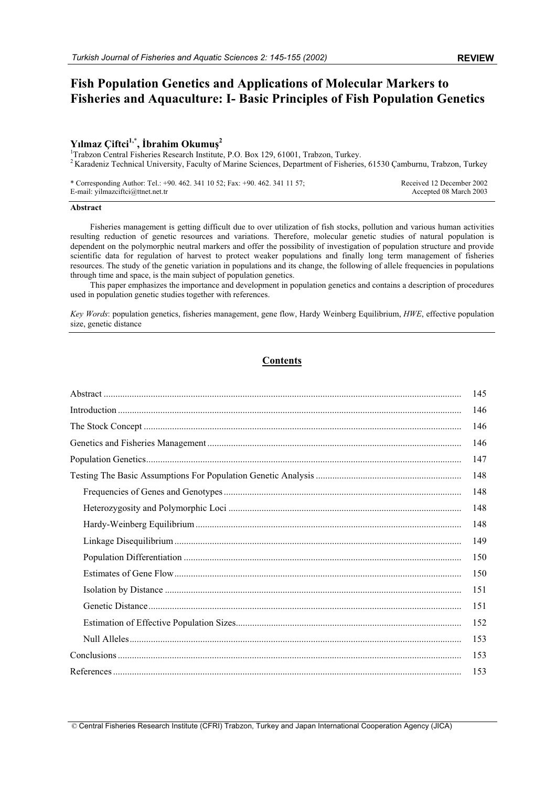# **Fish Population Genetics and Applications of Molecular Markers to Fisheries and Aquaculture: I- Basic Principles of Fish Population Genetics**

# $Y$ ılmaz Çiftci<sup>1,\*</sup>, İbrahim Okumuş<sup>2</sup>

<sup>1</sup>Trabzon Central Fisheries Research Institute, P.O. Box 129, 61001, Trabzon, Turkey. <sup>2</sup> Karadeniz Technical University, Faculty of Marine Sciences, Department of Fisheries, 61530 Çamburnu, Trabzon, Turkey

\* Corresponding Author: Tel.: +90. 462. 341 10 52; Fax: +90. 462. 341 11 57; E-mail: yilmazciftci@ttnet.net.tr

#### Received 12 December 2002 Accepted 08 March 2003

#### **Abstract**

Fisheries management is getting difficult due to over utilization of fish stocks, pollution and various human activities resulting reduction of genetic resources and variations. Therefore, molecular genetic studies of natural population is dependent on the polymorphic neutral markers and offer the possibility of investigation of population structure and provide scientific data for regulation of harvest to protect weaker populations and finally long term management of fisheries resources. The study of the genetic variation in populations and its change, the following of allele frequencies in populations through time and space, is the main subject of population genetics.

This paper emphasizes the importance and development in population genetics and contains a description of procedures used in population genetic studies together with references.

*Key Words*: population genetics, fisheries management, gene flow, Hardy Weinberg Equilibrium, *HWE*, effective population size, genetic distance

# **Contents**

| 145 |
|-----|
| 146 |
| 146 |
| 146 |
| 147 |
| 148 |
| 148 |
| 148 |
| 148 |
| 149 |
| 150 |
| 150 |
| 151 |
| 151 |
| 152 |
| 153 |
| 153 |
| 153 |

© Central Fisheries Research Institute (CFRI) Trabzon, Turkey and Japan International Cooperation Agency (JICA)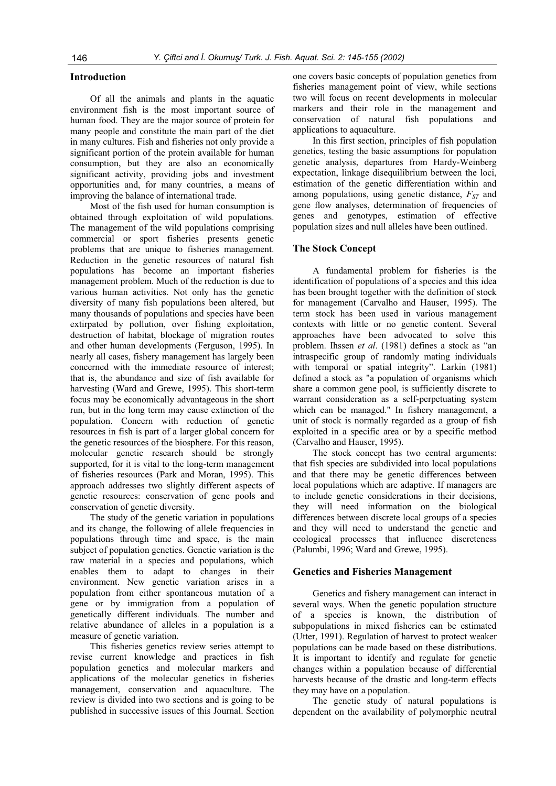# **Introduction**

Of all the animals and plants in the aquatic environment fish is the most important source of human food. They are the major source of protein for many people and constitute the main part of the diet in many cultures. Fish and fisheries not only provide a significant portion of the protein available for human consumption, but they are also an economically significant activity, providing jobs and investment opportunities and, for many countries, a means of improving the balance of international trade.

Most of the fish used for human consumption is obtained through exploitation of wild populations. The management of the wild populations comprising commercial or sport fisheries presents genetic problems that are unique to fisheries management. Reduction in the genetic resources of natural fish populations has become an important fisheries management problem. Much of the reduction is due to various human activities. Not only has the genetic diversity of many fish populations been altered, but many thousands of populations and species have been extirpated by pollution, over fishing exploitation, destruction of habitat, blockage of migration routes and other human developments (Ferguson, 1995). In nearly all cases, fishery management has largely been concerned with the immediate resource of interest; that is, the abundance and size of fish available for harvesting (Ward and Grewe, 1995). This short-term focus may be economically advantageous in the short run, but in the long term may cause extinction of the population. Concern with reduction of genetic resources in fish is part of a larger global concern for the genetic resources of the biosphere. For this reason, molecular genetic research should be strongly supported, for it is vital to the long-term management of fisheries resources (Park and Moran, 1995). This approach addresses two slightly different aspects of genetic resources: conservation of gene pools and conservation of genetic diversity.

The study of the genetic variation in populations and its change, the following of allele frequencies in populations through time and space, is the main subject of population genetics. Genetic variation is the raw material in a species and populations, which enables them to adapt to changes in their environment. New genetic variation arises in a population from either spontaneous mutation of a gene or by immigration from a population of genetically different individuals. The number and relative abundance of alleles in a population is a measure of genetic variation.

This fisheries genetics review series attempt to revise current knowledge and practices in fish population genetics and molecular markers and applications of the molecular genetics in fisheries management, conservation and aquaculture. The review is divided into two sections and is going to be published in successive issues of this Journal. Section one covers basic concepts of population genetics from fisheries management point of view, while sections two will focus on recent developments in molecular markers and their role in the management and conservation of natural fish populations and applications to aquaculture.

In this first section, principles of fish population genetics, testing the basic assumptions for population genetic analysis, departures from Hardy-Weinberg expectation, linkage disequilibrium between the loci, estimation of the genetic differentiation within and among populations, using genetic distance,  $F_{ST}$  and gene flow analyses, determination of frequencies of genes and genotypes, estimation of effective population sizes and null alleles have been outlined.

#### **The Stock Concept**

A fundamental problem for fisheries is the identification of populations of a species and this idea has been brought together with the definition of stock for management (Carvalho and Hauser, 1995). The term stock has been used in various management contexts with little or no genetic content. Several approaches have been advocated to solve this problem. Ihssen *et al*. (1981) defines a stock as "an intraspecific group of randomly mating individuals with temporal or spatial integrity". Larkin (1981) defined a stock as "a population of organisms which share a common gene pool, is sufficiently discrete to warrant consideration as a self-perpetuating system which can be managed." In fishery management, a unit of stock is normally regarded as a group of fish exploited in a specific area or by a specific method (Carvalho and Hauser, 1995).

The stock concept has two central arguments: that fish species are subdivided into local populations and that there may be genetic differences between local populations which are adaptive. If managers are to include genetic considerations in their decisions, they will need information on the biological differences between discrete local groups of a species and they will need to understand the genetic and ecological processes that influence discreteness (Palumbi, 1996; Ward and Grewe, 1995).

#### **Genetics and Fisheries Management**

Genetics and fishery management can interact in several ways. When the genetic population structure of a species is known, the distribution of subpopulations in mixed fisheries can be estimated (Utter, 1991). Regulation of harvest to protect weaker populations can be made based on these distributions. It is important to identify and regulate for genetic changes within a population because of differential harvests because of the drastic and long-term effects they may have on a population.

The genetic study of natural populations is dependent on the availability of polymorphic neutral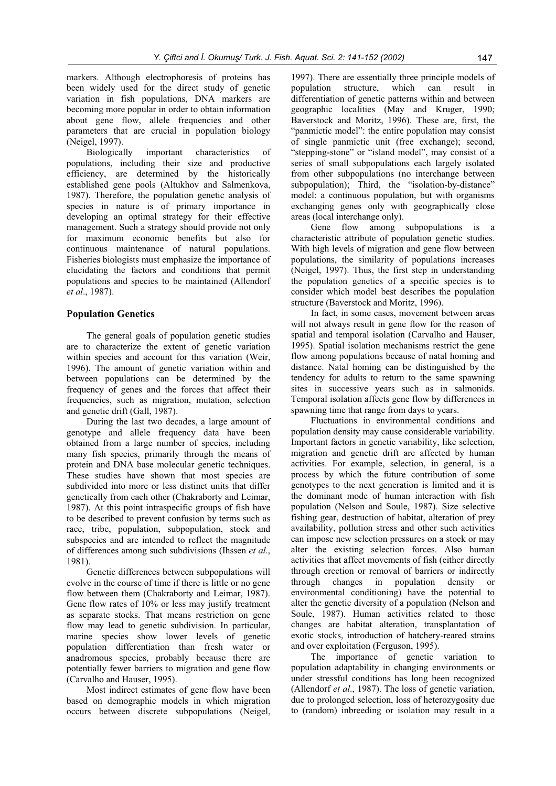markers. Although electrophoresis of proteins has been widely used for the direct study of genetic variation in fish populations, DNA markers are becoming more popular in order to obtain information about gene flow, allele frequencies and other parameters that are crucial in population biology

(Neigel, 1997).<br>Biologically important characteristics of populations, including their size and productive efficiency, are determined by the historically established gene pools (Altukhov and Salmenkova, 1987). Therefore, the population genetic analysis of species in nature is of primary importance in developing an optimal strategy for their effective management. Such a strategy should provide not only for maximum economic benefits but also for continuous maintenance of natural populations. Fisheries biologists must emphasize the importance of elucidating the factors and conditions that permit populations and species to be maintained (Allendorf *et al*., 1987).

# **Population Genetics**

The general goals of population genetic studies are to characterize the extent of genetic variation within species and account for this variation (Weir, 1996). The amount of genetic variation within and between populations can be determined by the frequency of genes and the forces that affect their frequencies, such as migration, mutation, selection and genetic drift (Gall, 1987).

During the last two decades, a large amount of genotype and allele frequency data have been obtained from a large number of species, including many fish species, primarily through the means of protein and DNA base molecular genetic techniques. These studies have shown that most species are subdivided into more or less distinct units that differ genetically from each other (Chakraborty and Leimar, 1987). At this point intraspecific groups of fish have to be described to prevent confusion by terms such as race, tribe, population, subpopulation, stock and subspecies and are intended to reflect the magnitude of differences among such subdivisions (Ihssen *et al*., 1981).

Genetic differences between subpopulations will evolve in the course of time if there is little or no gene flow between them (Chakraborty and Leimar, 1987). Gene flow rates of 10% or less may justify treatment as separate stocks. That means restriction on gene flow may lead to genetic subdivision. In particular, marine species show lower levels of genetic population differentiation than fresh water or anadromous species, probably because there are potentially fewer barriers to migration and gene flow (Carvalho and Hauser, 1995).

Most indirect estimates of gene flow have been based on demographic models in which migration occurs between discrete subpopulations (Neigel, 1997). There are essentially three principle models of population structure, which can result in differentiation of genetic patterns within and between geographic localities (May and Kruger, 1990; Baverstock and Moritz, 1996). These are, first, the "panmictic model": the entire population may consist of single panmictic unit (free exchange); second, "stepping-stone" or "island model", may consist of a series of small subpopulations each largely isolated from other subpopulations (no interchange between subpopulation); Third, the "isolation-by-distance" model: a continuous population, but with organisms exchanging genes only with geographically close areas (local interchange only).

Gene flow among subpopulations is a characteristic attribute of population genetic studies. With high levels of migration and gene flow between populations, the similarity of populations increases (Neigel, 1997). Thus, the first step in understanding the population genetics of a specific species is to consider which model best describes the population structure (Baverstock and Moritz, 1996).

In fact, in some cases, movement between areas will not always result in gene flow for the reason of spatial and temporal isolation (Carvalho and Hauser, 1995). Spatial isolation mechanisms restrict the gene flow among populations because of natal homing and distance. Natal homing can be distinguished by the tendency for adults to return to the same spawning sites in successive years such as in salmonids. Temporal isolation affects gene flow by differences in spawning time that range from days to years.

Fluctuations in environmental conditions and population density may cause considerable variability. Important factors in genetic variability, like selection, migration and genetic drift are affected by human activities. For example, selection, in general, is a process by which the future contribution of some genotypes to the next generation is limited and it is the dominant mode of human interaction with fish population (Nelson and Soule, 1987). Size selective fishing gear, destruction of habitat, alteration of prey availability, pollution stress and other such activities can impose new selection pressures on a stock or may alter the existing selection forces. Also human activities that affect movements of fish (either directly through erection or removal of barriers or indirectly through changes in population density or environmental conditioning) have the potential to alter the genetic diversity of a population (Nelson and Soule, 1987). Human activities related to those changes are habitat alteration, transplantation of exotic stocks, introduction of hatchery-reared strains and over exploitation (Ferguson, 1995).

The importance of genetic variation to population adaptability in changing environments or under stressful conditions has long been recognized (Allendorf *et al*., 1987). The loss of genetic variation, due to prolonged selection, loss of heterozygosity due to (random) inbreeding or isolation may result in a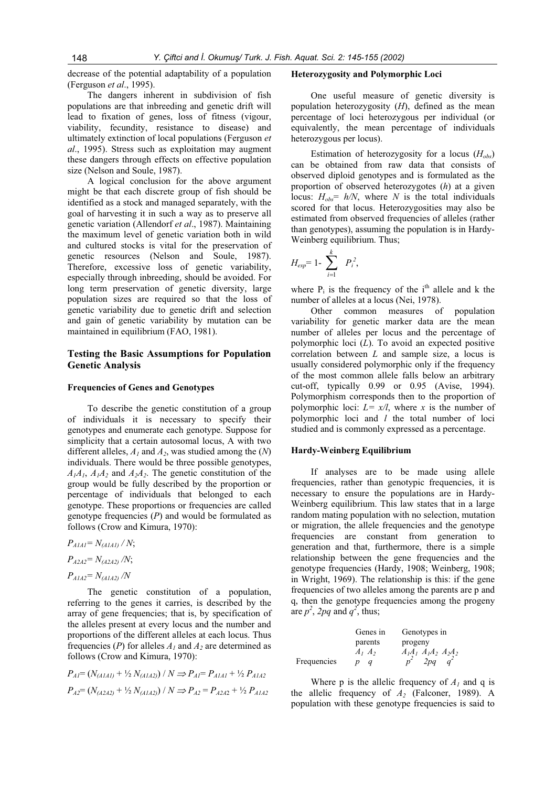decrease of the potential adaptability of a population (Ferguson *et al*., 1995).

The dangers inherent in subdivision of fish populations are that inbreeding and genetic drift will lead to fixation of genes, loss of fitness (vigour, viability, fecundity, resistance to disease) and ultimately extinction of local populations (Ferguson *et al*., 1995). Stress such as exploitation may augment these dangers through effects on effective population size (Nelson and Soule, 1987).

A logical conclusion for the above argument might be that each discrete group of fish should be identified as a stock and managed separately, with the goal of harvesting it in such a way as to preserve all genetic variation (Allendorf *et al*., 1987). Maintaining the maximum level of genetic variation both in wild and cultured stocks is vital for the preservation of genetic resources (Nelson and Soule, 1987). Therefore, excessive loss of genetic variability, especially through inbreeding, should be avoided. For long term preservation of genetic diversity, large population sizes are required so that the loss of genetic variability due to genetic drift and selection and gain of genetic variability by mutation can be maintained in equilibrium (FAO, 1981).

# **Testing the Basic Assumptions for Population Genetic Analysis**

#### **Frequencies of Genes and Genotypes**

To describe the genetic constitution of a group of individuals it is necessary to specify their genotypes and enumerate each genotype. Suppose for simplicity that a certain autosomal locus, A with two different alleles,  $A_1$  and  $A_2$ , was studied among the  $(N)$ individuals. There would be three possible genotypes,  $A_1A_1$ ,  $A_1A_2$  and  $A_2A_2$ . The genetic constitution of the group would be fully described by the proportion or percentage of individuals that belonged to each genotype. These proportions or frequencies are called genotype frequencies (*P*) and would be formulated as follows (Crow and Kimura, 1970):

*PA1A1= N(A1A1) / N*; *PA2A2= N(A2A2) /N*; *PA1A2= N(A1A2) /N* 

The genetic constitution of a population, referring to the genes it carries, is described by the array of gene frequencies; that is, by specification of the alleles present at every locus and the number and proportions of the different alleles at each locus. Thus frequencies (*P*) for alleles  $A_1$  and  $A_2$  are determined as follows (Crow and Kimura, 1970):

$$
P_{AI} = (N_{(A1A1)} + \frac{1}{2} N_{(A1A2)}) / N \Rightarrow P_{AI} = P_{A1A1} + \frac{1}{2} P_{A1A2}
$$
  

$$
P_{AI} = (N_{(A2A2)} + \frac{1}{2} N_{(A1A2)}) / N \Rightarrow P_{AI} = P_{A2A2} + \frac{1}{2} P_{A1A2}
$$

#### **Heterozygosity and Polymorphic Loci**

One useful measure of genetic diversity is population heterozygosity (*H*), defined as the mean percentage of loci heterozygous per individual (or equivalently, the mean percentage of individuals heterozygous per locus).

Estimation of heterozygosity for a locus  $(H_{obs})$ can be obtained from raw data that consists of observed diploid genotypes and is formulated as the proportion of observed heterozygotes (*h*) at a given locus:  $H_{obs} = h/N$ , where *N* is the total individuals scored for that locus. Heterozygosities may also be estimated from observed frequencies of alleles (rather than genotypes), assuming the population is in Hardy-Weinberg equilibrium. Thus;

$$
H_{exp}=1-\sum_{i=1}^k P_i^2,
$$

where  $P_i$  is the frequency of the i<sup>th</sup> allele and k the number of alleles at a locus (Nei, 1978).

Other common measures of population variability for genetic marker data are the mean number of alleles per locus and the percentage of polymorphic loci (*L*). To avoid an expected positive correlation between *L* and sample size, a locus is usually considered polymorphic only if the frequency of the most common allele falls below an arbitrary cut-off, typically 0.99 or 0.95 (Avise, 1994). Polymorphism corresponds then to the proportion of polymorphic loci:  $L = x/l$ , where *x* is the number of polymorphic loci and *l* the total number of loci studied and is commonly expressed as a percentage.

#### **Hardy-Weinberg Equilibrium**

If analyses are to be made using allele frequencies, rather than genotypic frequencies, it is necessary to ensure the populations are in Hardy-Weinberg equilibrium. This law states that in a large random mating population with no selection, mutation or migration, the allele frequencies and the genotype frequencies are constant from generation to generation and that, furthermore, there is a simple relationship between the gene frequencies and the genotype frequencies (Hardy, 1908; Weinberg, 1908; in Wright, 1969). The relationship is this: if the gene frequencies of two alleles among the parents are p and q, then the genotype frequencies among the progeny are  $p^2$ , 2pq and  $q^2$ , thus;

|             | Genes in    | Genotypes in           |
|-------------|-------------|------------------------|
|             | parents     | progeny                |
|             | $A_1$ $A_2$ | $A_1A_1 A_1A_2 A_2A_2$ |
| Frequencies |             | 2pq                    |

Where p is the allelic frequency of  $A_1$  and q is the allelic frequency of  $A_2$  (Falconer, 1989). A population with these genotype frequencies is said to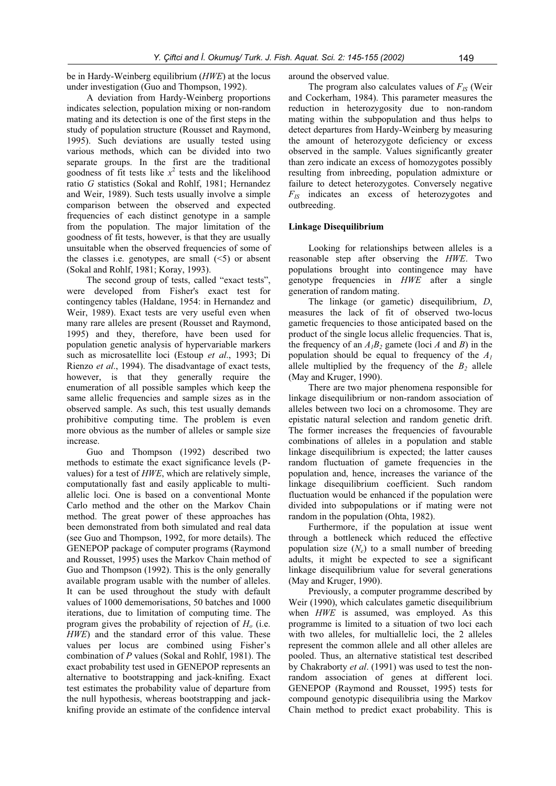be in Hardy-Weinberg equilibrium (*HWE*) at the locus under investigation (Guo and Thompson, 1992).

A deviation from Hardy-Weinberg proportions indicates selection, population mixing or non-random mating and its detection is one of the first steps in the study of population structure (Rousset and Raymond, 1995). Such deviations are usually tested using various methods, which can be divided into two separate groups. In the first are the traditional goodness of fit tests like  $x^2$  tests and the likelihood ratio *G* statistics (Sokal and Rohlf, 1981; Hernandez and Weir, 1989). Such tests usually involve a simple comparison between the observed and expected frequencies of each distinct genotype in a sample from the population. The major limitation of the goodness of fit tests, however, is that they are usually unsuitable when the observed frequencies of some of the classes i.e. genotypes, are small  $(\leq 5)$  or absent (Sokal and Rohlf, 1981; Koray, 1993).

The second group of tests, called "exact tests", were developed from Fisher's exact test for contingency tables (Haldane, 1954: in Hernandez and Weir, 1989). Exact tests are very useful even when many rare alleles are present (Rousset and Raymond, 1995) and they, therefore, have been used for population genetic analysis of hypervariable markers such as microsatellite loci (Estoup *et al*., 1993; Di Rienzo *et al*., 1994). The disadvantage of exact tests, however, is that they generally require the enumeration of all possible samples which keep the same allelic frequencies and sample sizes as in the observed sample. As such, this test usually demands prohibitive computing time. The problem is even more obvious as the number of alleles or sample size increase.

Guo and Thompson (1992) described two methods to estimate the exact significance levels (Pvalues) for a test of *HWE*, which are relatively simple, computationally fast and easily applicable to multiallelic loci. One is based on a conventional Monte Carlo method and the other on the Markov Chain method. The great power of these approaches has been demonstrated from both simulated and real data (see Guo and Thompson, 1992, for more details). The GENEPOP package of computer programs (Raymond and Rousset, 1995) uses the Markov Chain method of Guo and Thompson (1992). This is the only generally available program usable with the number of alleles. It can be used throughout the study with default values of 1000 dememorisations, 50 batches and 1000 iterations, due to limitation of computing time. The program gives the probability of rejection of  $H<sub>o</sub>$  (i.e. *HWE*) and the standard error of this value. These values per locus are combined using Fisher's combination of *P* values (Sokal and Rohlf, 1981). The exact probability test used in GENEPOP represents an alternative to bootstrapping and jack-knifing. Exact test estimates the probability value of departure from the null hypothesis, whereas bootstrapping and jackknifing provide an estimate of the confidence interval

around the observed value.

The program also calculates values of  $F_{IS}$  (Weir and Cockerham, 1984). This parameter measures the reduction in heterozygosity due to non-random mating within the subpopulation and thus helps to detect departures from Hardy-Weinberg by measuring the amount of heterozygote deficiency or excess observed in the sample. Values significantly greater than zero indicate an excess of homozygotes possibly resulting from inbreeding, population admixture or failure to detect heterozygotes. Conversely negative *FIS* indicates an excess of heterozygotes and outbreeding.

#### **Linkage Disequilibrium**

Looking for relationships between alleles is a reasonable step after observing the *HWE*. Two populations brought into contingence may have genotype frequencies in *HWE* after a single generation of random mating.

The linkage (or gametic) disequilibrium, *D*, measures the lack of fit of observed two-locus gametic frequencies to those anticipated based on the product of the single locus allelic frequencies. That is, the frequency of an  $A_1B_2$  gamete (loci *A* and *B*) in the population should be equal to frequency of the  $A_1$ allele multiplied by the frequency of the  $B_2$  allele (May and Kruger, 1990).

There are two major phenomena responsible for linkage disequilibrium or non-random association of alleles between two loci on a chromosome. They are epistatic natural selection and random genetic drift. The former increases the frequencies of favourable combinations of alleles in a population and stable linkage disequilibrium is expected; the latter causes random fluctuation of gamete frequencies in the population and, hence, increases the variance of the linkage disequilibrium coefficient. Such random fluctuation would be enhanced if the population were divided into subpopulations or if mating were not random in the population (Ohta, 1982).

Furthermore, if the population at issue went through a bottleneck which reduced the effective population size  $(N_e)$  to a small number of breeding adults, it might be expected to see a significant linkage disequilibrium value for several generations (May and Kruger, 1990).

Previously, a computer programme described by Weir (1990), which calculates gametic disequilibrium when *HWE* is assumed, was employed. As this programme is limited to a situation of two loci each with two alleles, for multiallelic loci, the 2 alleles represent the common allele and all other alleles are pooled. Thus, an alternative statistical test described by Chakraborty *et al*. (1991) was used to test the nonrandom association of genes at different loci. GENEPOP (Raymond and Rousset, 1995) tests for compound genotypic disequilibria using the Markov Chain method to predict exact probability. This is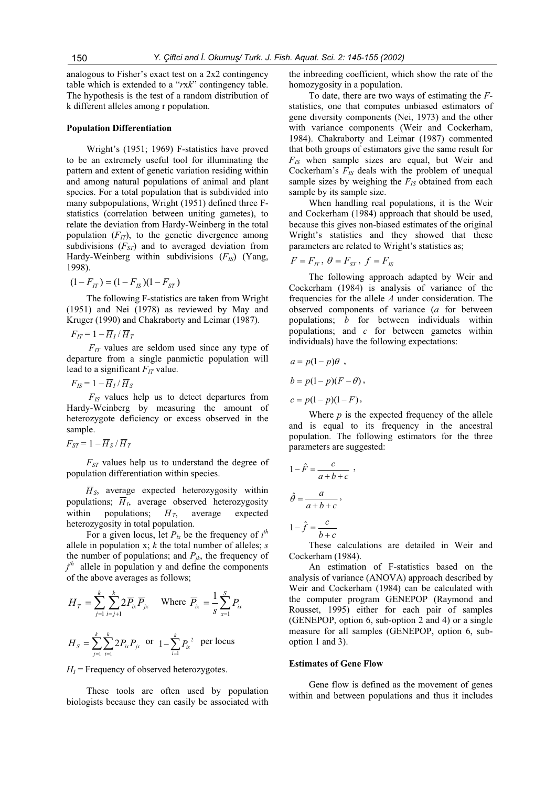analogous to Fisher's exact test on a 2x2 contingency table which is extended to a "*r*x*k*" contingency table. The hypothesis is the test of a random distribution of k different alleles among r population.

#### **Population Differentiation**

Wright's (1951; 1969) F-statistics have proved to be an extremely useful tool for illuminating the pattern and extent of genetic variation residing within and among natural populations of animal and plant species. For a total population that is subdivided into many subpopulations, Wright (1951) defined three Fstatistics (correlation between uniting gametes), to relate the deviation from Hardy-Weinberg in the total population  $(F_{IT})$ , to the genetic divergence among subdivisions  $(F_{ST})$  and to averaged deviation from Hardy-Weinberg within subdivisions (F<sub>IS</sub>) (Yang, 1998).

$$
(1 - F_{IT}) = (1 - F_{IS})(1 - F_{ST})
$$

The following F-statistics are taken from Wright (1951) and Nei (1978) as reviewed by May and Kruger (1990) and Chakraborty and Leimar (1987).

$$
F_{IT} = 1 - \overline{H}_I / \overline{H}_T
$$

 $F_{IT}$  values are seldom used since any type of departure from a single panmictic population will lead to a significant  $F_{IT}$  value.

$$
F_{IS} = 1 - \overline{H}_I / \overline{H}_S
$$

*FIS* values help us to detect departures from Hardy-Weinberg by measuring the amount of heterozygote deficiency or excess observed in the sample.

$$
F_{ST} = 1 - \overline{H}_S / \overline{H}_T
$$

 $F_{ST}$  values help us to understand the degree of population differentiation within species.

 $\overline{H}_s$ , average expected heterozygosity within populations;  $\overline{H}_I$ , average observed heterozygosity within populations;  $\overline{H}_T$ , average expected heterozygosity in total population.

For a given locus, let  $P_{ix}$  be the frequency of  $i^{th}$ allele in population x; *k* the total number of alleles; *s* the number of populations; and  $P_{ik}$ , the frequency of *j th* allele in population y and define the components of the above averages as follows;

$$
H_T = \sum_{j=1}^{k} \sum_{i=j+1}^{k} 2 \overline{P}_{ix} \overline{P}_{jx}
$$
 Where  $\overline{P}_{ix} = \frac{1}{s} \sum_{x=1}^{s} P_{ix}$   

$$
H_s = \sum_{j=1}^{k} \sum_{i=1}^{k} 2 P_{ix} P_{jx}
$$
 or  $1 - \sum_{i=1}^{k} P_{ix}^2$  per locus

 $H<sub>I</sub>$  = Frequency of observed heterozygotes.

These tools are often used by population biologists because they can easily be associated with

the inbreeding coefficient, which show the rate of the homozygosity in a population.

To date, there are two ways of estimating the *F*statistics, one that computes unbiased estimators of gene diversity components (Nei, 1973) and the other with variance components (Weir and Cockerham, 1984). Chakraborty and Leimar (1987) commented that both groups of estimators give the same result for *FIS* when sample sizes are equal, but Weir and Cockerham's  $F_{IS}$  deals with the problem of unequal sample sizes by weighing the  $F_{IS}$  obtained from each sample by its sample size.

When handling real populations, it is the Weir and Cockerham (1984) approach that should be used, because this gives non-biased estimates of the original Wright's statistics and they showed that these parameters are related to Wright's statistics as;

$$
F = F_{IT}, \ \theta = F_{ST}, \ f = F_{IS}
$$

The following approach adapted by Weir and Cockerham (1984) is analysis of variance of the frequencies for the allele *A* under consideration. The observed components of variance (*a* for between populations; *b* for between individuals within populations; and *c* for between gametes within individuals) have the following expectations:

$$
a = p(1-p)\theta,
$$
  
\n
$$
b = p(1-p)(F-\theta),
$$
  
\n
$$
c = p(1-p)(1-F),
$$

Where  $p$  is the expected frequency of the allele and is equal to its frequency in the ancestral population. The following estimators for the three parameters are suggested:

$$
1 - \hat{F} = \frac{c}{a+b+c} ,
$$
  

$$
\hat{\theta} = \frac{a}{a+b+c} ,
$$
  

$$
1 - \hat{f} = \frac{c}{b+c}
$$

These calculations are detailed in Weir and Cockerham (1984).

An estimation of F-statistics based on the analysis of variance (ANOVA) approach described by Weir and Cockerham (1984) can be calculated with the computer program GENEPOP (Raymond and Rousset, 1995) either for each pair of samples (GENEPOP, option 6, sub-option 2 and 4) or a single measure for all samples (GENEPOP, option 6, suboption 1 and 3).

#### **Estimates of Gene Flow**

Gene flow is defined as the movement of genes within and between populations and thus it includes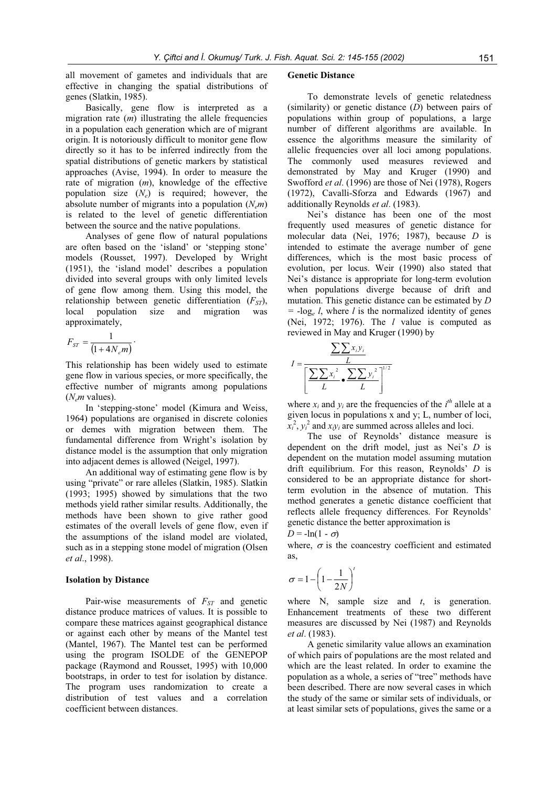all movement of gametes and individuals that are effective in changing the spatial distributions of genes (Slatkin, 1985).

Basically, gene flow is interpreted as a migration rate (*m*) illustrating the allele frequencies in a population each generation which are of migrant origin. It is notoriously difficult to monitor gene flow directly so it has to be inferred indirectly from the spatial distributions of genetic markers by statistical approaches (Avise, 1994). In order to measure the rate of migration (*m*), knowledge of the effective population size (*Ne*) is required; however, the absolute number of migrants into a population  $(N_{\rm s}m)$ is related to the level of genetic differentiation between the source and the native populations.

Analyses of gene flow of natural populations are often based on the 'island' or 'stepping stone' models (Rousset, 1997). Developed by Wright (1951), the 'island model' describes a population divided into several groups with only limited levels of gene flow among them. Using this model, the relationship between genetic differentiation  $(F_{ST})$ , local population size and migration was population size and migration was approximately,

$$
F_{ST} = \frac{1}{\left(1 + 4N_e m\right)}.
$$

This relationship has been widely used to estimate gene flow in various species, or more specifically, the effective number of migrants among populations (*Nem* values).

In 'stepping-stone' model (Kimura and Weiss, 1964) populations are organised in discrete colonies or demes with migration between them. The fundamental difference from Wright's isolation by distance model is the assumption that only migration into adjacent demes is allowed (Neigel, 1997).

An additional way of estimating gene flow is by using "private" or rare alleles (Slatkin, 1985). Slatkin (1993; 1995) showed by simulations that the two methods yield rather similar results. Additionally, the methods have been shown to give rather good estimates of the overall levels of gene flow, even if the assumptions of the island model are violated, such as in a stepping stone model of migration (Olsen *et al*., 1998).

#### **Isolation by Distance**

Pair-wise measurements of  $F_{ST}$  and genetic distance produce matrices of values. It is possible to compare these matrices against geographical distance or against each other by means of the Mantel test (Mantel, 1967). The Mantel test can be performed using the program ISOLDE of the GENEPOP package (Raymond and Rousset, 1995) with 10,000 bootstraps, in order to test for isolation by distance. The program uses randomization to create a distribution of test values and a correlation coefficient between distances.

#### **Genetic Distance**

To demonstrate levels of genetic relatedness (similarity) or genetic distance (*D*) between pairs of populations within group of populations, a large number of different algorithms are available. In essence the algorithms measure the similarity of allelic frequencies over all loci among populations. The commonly used measures reviewed and demonstrated by May and Kruger (1990) and Swofford *et al*. (1996) are those of Nei (1978), Rogers (1972), Cavalli-Sforza and Edwards (1967) and additionally Reynolds *et al*. (1983).

Nei's distance has been one of the most frequently used measures of genetic distance for molecular data (Nei, 1976; 1987), because *D* is intended to estimate the average number of gene differences, which is the most basic process of evolution, per locus. Weir (1990) also stated that Nei's distance is appropriate for long-term evolution when populations diverge because of drift and mutation. This genetic distance can be estimated by *D*  $= -\log_e l$ , where *l* is the normalized identity of genes (Nei, 1972; 1976). The *l* value is computed as reviewed in May and Kruger (1990) by

$$
I = \frac{\sum \sum x_i y_i}{\left[\sum \sum x_i^2 \sum \sum y_i^2\right]^{1/2}}
$$

where  $x_i$  and  $y_i$  are the frequencies of the  $i^{th}$  allele at a given locus in populations x and y; L, number of loci,  $x_i^2$ ,  $y_i^2$  and  $x_iy_i$  are summed across alleles and loci.

The use of Reynolds' distance measure is dependent on the drift model, just as Nei's *D* is dependent on the mutation model assuming mutation drift equilibrium. For this reason, Reynolds' *D* is considered to be an appropriate distance for shortterm evolution in the absence of mutation. This method generates a genetic distance coefficient that reflects allele frequency differences. For Reynolds' genetic distance the better approximation is

$$
D = -\ln(1 - \sigma)
$$

where,  $\sigma$  is the coancestry coefficient and estimated as,

$$
\sigma = 1 - \left(1 - \frac{1}{2N}\right)^t
$$

where N, sample size and *t*, is generation. Enhancement treatments of these two different measures are discussed by Nei (1987) and Reynolds *et al*. (1983).

A genetic similarity value allows an examination of which pairs of populations are the most related and which are the least related. In order to examine the population as a whole, a series of "tree" methods have been described. There are now several cases in which the study of the same or similar sets of individuals, or at least similar sets of populations, gives the same or a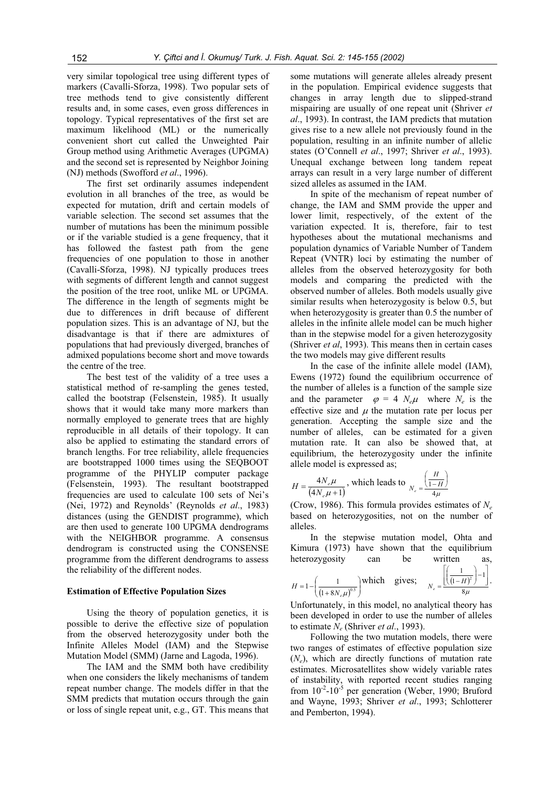very similar topological tree using different types of markers (Cavalli-Sforza, 1998). Two popular sets of tree methods tend to give consistently different results and, in some cases, even gross differences in topology. Typical representatives of the first set are maximum likelihood (ML) or the numerically convenient short cut called the Unweighted Pair Group method using Arithmetic Averages (UPGMA) and the second set is represented by Neighbor Joining (NJ) methods (Swofford *et al*., 1996).

The first set ordinarily assumes independent evolution in all branches of the tree, as would be expected for mutation, drift and certain models of variable selection. The second set assumes that the number of mutations has been the minimum possible or if the variable studied is a gene frequency, that it has followed the fastest path from the gene frequencies of one population to those in another (Cavalli-Sforza, 1998). NJ typically produces trees with segments of different length and cannot suggest the position of the tree root, unlike ML or UPGMA. The difference in the length of segments might be due to differences in drift because of different population sizes. This is an advantage of NJ, but the disadvantage is that if there are admixtures of populations that had previously diverged, branches of admixed populations become short and move towards the centre of the tree.

The best test of the validity of a tree uses a statistical method of re-sampling the genes tested, called the bootstrap (Felsenstein, 1985). It usually shows that it would take many more markers than normally employed to generate trees that are highly reproducible in all details of their topology. It can also be applied to estimating the standard errors of branch lengths. For tree reliability, allele frequencies are bootstrapped 1000 times using the SEQBOOT programme of the PHYLIP computer package (Felsenstein, 1993). The resultant bootstrapped frequencies are used to calculate 100 sets of Nei's (Nei, 1972) and Reynolds' (Reynolds *et al*., 1983) distances (using the GENDIST programme), which are then used to generate 100 UPGMA dendrograms with the NEIGHBOR programme. A consensus dendrogram is constructed using the CONSENSE programme from the different dendrograms to assess the reliability of the different nodes.

#### **Estimation of Effective Population Sizes**

Using the theory of population genetics, it is possible to derive the effective size of population from the observed heterozygosity under both the Infinite Alleles Model (IAM) and the Stepwise Mutation Model (SMM) (Jarne and Lagoda, 1996).

The IAM and the SMM both have credibility when one considers the likely mechanisms of tandem repeat number change. The models differ in that the SMM predicts that mutation occurs through the gain or loss of single repeat unit, e.g., GT. This means that

some mutations will generate alleles already present in the population. Empirical evidence suggests that changes in array length due to slipped-strand mispairing are usually of one repeat unit (Shriver *et al*., 1993). In contrast, the IAM predicts that mutation gives rise to a new allele not previously found in the population, resulting in an infinite number of allelic states (O'Connell *et al*., 1997; Shriver *et al*., 1993). Unequal exchange between long tandem repeat arrays can result in a very large number of different sized alleles as assumed in the IAM.

In spite of the mechanism of repeat number of change, the IAM and SMM provide the upper and lower limit, respectively, of the extent of the variation expected. It is, therefore, fair to test hypotheses about the mutational mechanisms and population dynamics of Variable Number of Tandem Repeat (VNTR) loci by estimating the number of alleles from the observed heterozygosity for both models and comparing the predicted with the observed number of alleles. Both models usually give similar results when heterozygosity is below 0.5, but when heterozygosity is greater than 0.5 the number of alleles in the infinite allele model can be much higher than in the stepwise model for a given heterozygosity (Shriver *et al*, 1993). This means then in certain cases the two models may give different results

In the case of the infinite allele model (IAM), Ewens (1972) found the equilibrium occurrence of the number of alleles is a function of the sample size and the parameter  $\varphi = 4 N_e \mu$  where  $N_e$  is the effective size and  $\mu$  the mutation rate per locus per generation. Accepting the sample size and the number of alleles, can be estimated for a given mutation rate. It can also be showed that, at equilibrium, the heterozygosity under the infinite allele model is expressed as;

$$
H = \frac{4N_e\mu}{\left(4N_e\mu + 1\right)}, \text{ which leads to }_{N_e} = \frac{\left(\frac{H}{1-H}\right)}{4\mu}
$$

(Crow, 1986). This formula provides estimates of *Ne* based on heterozygosities, not on the number of alleles.

In the stepwise mutation model, Ohta and Kimura (1973) have shown that the equilibrium heterozygosity can be written as,

$$
H = 1 - \left(\frac{1}{\left(1 + 8N_e \mu\right)^{0.5}}\right) \text{which gives; } N_e = \frac{\left[\left(\frac{1}{\left(1 - H\right)^2}\right) - 1\right]}{8\mu}.
$$

Unfortunately, in this model, no analytical theory has been developed in order to use the number of alleles to estimate *Ne* (Shriver *et al*., 1993).

Following the two mutation models, there were two ranges of estimates of effective population size (*Ne*), which are directly functions of mutation rate estimates. Microsatellites show widely variable rates of instability, with reported recent studies ranging from  $10^{-2}$ - $10^{-5}$  per generation (Weber, 1990; Bruford and Wayne, 1993; Shriver *et al*., 1993; Schlotterer and Pemberton, 1994).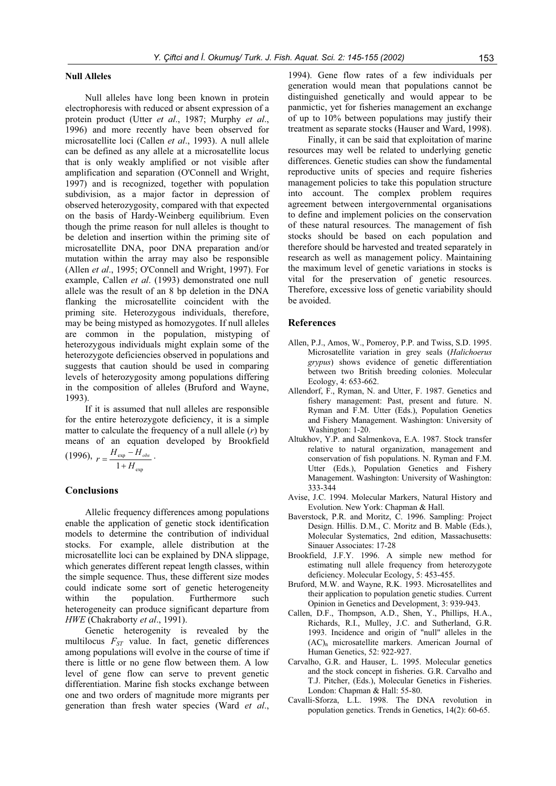#### **Null Alleles**

Null alleles have long been known in protein electrophoresis with reduced or absent expression of a protein product (Utter *et al*., 1987; Murphy *et al*., 1996) and more recently have been observed for microsatellite loci (Callen *et al*., 1993). A null allele can be defined as any allele at a microsatellite locus that is only weakly amplified or not visible after amplification and separation (O'Connell and Wright, 1997) and is recognized, together with population subdivision, as a major factor in depression of observed heterozygosity, compared with that expected on the basis of Hardy-Weinberg equilibrium. Even though the prime reason for null alleles is thought to be deletion and insertion within the priming site of microsatellite DNA, poor DNA preparation and/or mutation within the array may also be responsible (Allen *et al*., 1995; O'Connell and Wright, 1997). For example, Callen *et al*. (1993) demonstrated one null allele was the result of an 8 bp deletion in the DNA flanking the microsatellite coincident with the priming site. Heterozygous individuals, therefore, may be being mistyped as homozygotes. If null alleles are common in the population, mistyping of heterozygous individuals might explain some of the heterozygote deficiencies observed in populations and suggests that caution should be used in comparing levels of heterozygosity among populations differing in the composition of alleles (Bruford and Wayne, 1993).

If it is assumed that null alleles are responsible for the entire heterozygote deficiency, it is a simple matter to calculate the frequency of a null allele (*r*) by means of an equation developed by Brookfield (1996), exp  $r = \frac{H_{\text{exp}} - H_{\text{obs}}}{1 + H_{\text{exp}}}$ .

exp

## **Conclusions**

Allelic frequency differences among populations enable the application of genetic stock identification models to determine the contribution of individual stocks. For example, allele distribution at the microsatellite loci can be explained by DNA slippage, which generates different repeat length classes, within the simple sequence. Thus, these different size modes could indicate some sort of genetic heterogeneity<br>within the population. Furthermore such the population. Furthermore such heterogeneity can produce significant departure from *HWE* (Chakraborty *et al*., 1991).

Genetic heterogenity is revealed by the multilocus  $F_{ST}$  value. In fact, genetic differences among populations will evolve in the course of time if there is little or no gene flow between them. A low level of gene flow can serve to prevent genetic differentiation. Marine fish stocks exchange between one and two orders of magnitude more migrants per generation than fresh water species (Ward *et al*.,

1994). Gene flow rates of a few individuals per generation would mean that populations cannot be distinguished genetically and would appear to be panmictic, yet for fisheries management an exchange of up to 10% between populations may justify their treatment as separate stocks (Hauser and Ward, 1998).

Finally, it can be said that exploitation of marine resources may well be related to underlying genetic differences. Genetic studies can show the fundamental reproductive units of species and require fisheries management policies to take this population structure into account. The complex problem requires agreement between intergovernmental organisations to define and implement policies on the conservation of these natural resources. The management of fish stocks should be based on each population and therefore should be harvested and treated separately in research as well as management policy. Maintaining the maximum level of genetic variations in stocks is vital for the preservation of genetic resources. Therefore, excessive loss of genetic variability should be avoided.

## **References**

- Allen, P.J., Amos, W., Pomeroy, P.P. and Twiss, S.D. 1995. Microsatellite variation in grey seals (*Halichoerus grypus*) shows evidence of genetic differentiation between two British breeding colonies. Molecular Ecology, 4: 653-662.
- Allendorf, F., Ryman, N. and Utter, F. 1987. Genetics and fishery management: Past, present and future. N. Ryman and F.M. Utter (Eds.), Population Genetics and Fishery Management. Washington: University of Washington: 1-20.
- Altukhov, Y.P. and Salmenkova, E.A. 1987. Stock transfer relative to natural organization, management and conservation of fish populations. N. Ryman and F.M. Utter (Eds.), Population Genetics and Fishery Management. Washington: University of Washington: 333-344
- Avise, J.C. 1994. Molecular Markers, Natural History and Evolution. New York: Chapman & Hall.
- Baverstock, P.R. and Moritz, C. 1996. Sampling: Project Design. Hillis. D.M., C. Moritz and B. Mable (Eds.), Molecular Systematics, 2nd edition, Massachusetts: Sinauer Associates: 17-28
- Brookfield, J.F.Y. 1996. A simple new method for estimating null allele frequency from heterozygote deficiency. Molecular Ecology, 5: 453-455.
- Bruford, M.W. and Wayne, R.K. 1993. Microsatellites and their application to population genetic studies. Current Opinion in Genetics and Development, 3: 939-943.
- Callen, D.F., Thompson, A.D., Shen, Y., Phillips, H.A., Richards, R.I., Mulley, J.C. and Sutherland, G.R. 1993. Incidence and origin of "null" alleles in the  $(AC)$ <sub>n</sub> microsatellite markers. American Journal of Human Genetics, 52: 922-927.
- Carvalho, G.R. and Hauser, L. 1995. Molecular genetics and the stock concept in fisheries. G.R. Carvalho and T.J. Pitcher, (Eds.), Molecular Genetics in Fisheries. London: Chapman & Hall: 55-80.
- Cavalli-Sforza, L.L. 1998. The DNA revolution in population genetics. Trends in Genetics, 14(2): 60-65.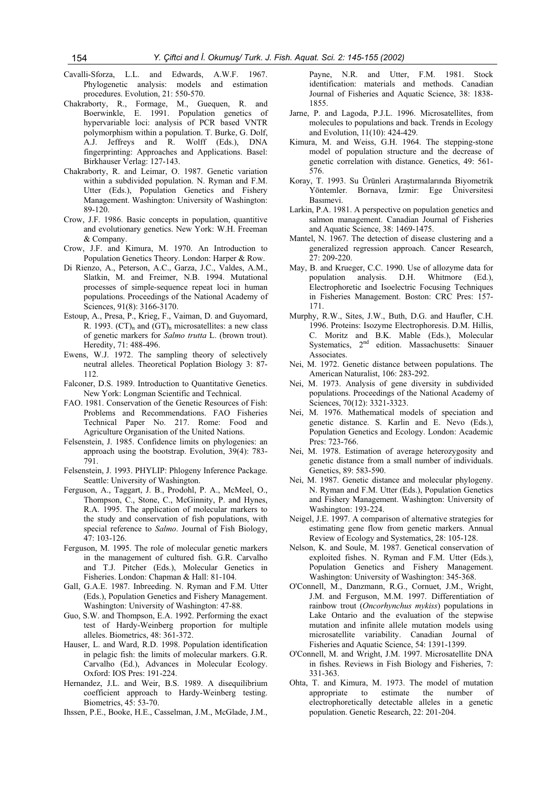- Cavalli-Sforza, L.L. and Edwards, A.W.F. 1967. Phylogenetic analysis: models and estimation procedures. Evolution, 21: 550-570.
- Chakraborty, R., Formage, M., Guequen, R. and Boerwinkle, E. 1991. Population genetics of hypervariable loci: analysis of PCR based VNTR polymorphism within a population. T. Burke, G. Dolf, A.J. Jeffreys and R. Wolff (Eds.), DNA fingerprinting: Approaches and Applications. Basel: Birkhauser Verlag: 127-143.
- Chakraborty, R. and Leimar, O. 1987. Genetic variation within a subdivided population. N. Ryman and F.M. Utter (Eds.), Population Genetics and Fishery Management. Washington: University of Washington: 89-120.
- Crow, J.F. 1986. Basic concepts in population, quantitive and evolutionary genetics. New York: W.H. Freeman & Company.
- Crow, J.F. and Kimura, M. 1970. An Introduction to Population Genetics Theory. London: Harper & Row.
- Di Rienzo, A., Peterson, A.C., Garza, J.C., Valdes, A.M., Slatkin, M. and Freimer, N.B. 1994. Mutational processes of simple-sequence repeat loci in human populations. Proceedings of the National Academy of Sciences, 91(8): 3166-3170.
- Estoup, A., Presa, P., Krieg, F., Vaiman, D. and Guyomard, R. 1993.  $(CT)$ <sub>n</sub> and  $(GT)$ <sub>n</sub> microsatellites: a new class of genetic markers for *Salmo trutta* L. (brown trout). Heredity, 71: 488-496.
- Ewens, W.J. 1972. The sampling theory of selectively neutral alleles. Theoretical Poplation Biology 3: 87- 112.
- Falconer, D.S. 1989. Introduction to Quantitative Genetics. New York: Longman Scientific and Technical.
- FAO. 1981. Conservation of the Genetic Resources of Fish: Problems and Recommendations. FAO Fisheries Technical Paper No. 217. Rome: Food and Agriculture Organisation of the United Nations.
- Felsenstein, J. 1985. Confidence limits on phylogenies: an approach using the bootstrap. Evolution, 39(4): 783- 791.
- Felsenstein, J. 1993. PHYLIP: Phlogeny Inference Package. Seattle: University of Washington.
- Ferguson, A., Taggart, J. B., Prodohl, P. A., McMeel, O., Thompson, C., Stone, C., McGinnity, P. and Hynes, R.A. 1995. The application of molecular markers to the study and conservation of fish populations, with special reference to *Salmo*. Journal of Fish Biology, 47: 103-126.
- Ferguson, M. 1995. The role of molecular genetic markers in the management of cultured fish. G.R. Carvalho and T.J. Pitcher (Eds.), Molecular Genetics in Fisheries. London: Chapman & Hall: 81-104.
- Gall, G.A.E. 1987. Inbreeding. N. Ryman and F.M. Utter (Eds.), Population Genetics and Fishery Management. Washington: University of Washington: 47-88.
- Guo, S.W. and Thompson, E.A. 1992. Performing the exact test of Hardy-Weinberg proportion for multiple alleles. Biometrics, 48: 361-372.
- Hauser, L. and Ward, R.D. 1998. Population identification in pelagic fish: the limits of molecular markers. G.R. Carvalho (Ed.), Advances in Molecular Ecology. Oxford: IOS Pres: 191-224.
- Hernandez, J.L. and Weir, B.S. 1989. A disequilibrium coefficient approach to Hardy-Weinberg testing. Biometrics, 45: 53-70.
- Ihssen, P.E., Booke, H.E., Casselman, J.M., McGlade, J.M.,

Payne, N.R. and Utter, F.M. 1981. Stock identification: materials and methods. Canadian Journal of Fisheries and Aquatic Science, 38: 1838- 1855.

- Jarne, P. and Lagoda, P.J.L. 1996. Microsatellites, from molecules to populations and back. Trends in Ecology and Evolution, 11(10): 424-429.
- Kimura, M. and Weiss, G.H. 1964. The stepping-stone model of population structure and the decrease of genetic correlation with distance. Genetics, 49: 561- 576.
- Koray, T. 1993. Su Ürünleri Araştırmalarında Biyometrik Yöntemler. Bornava, İzmir: Ege Üniversitesi Basımevi.
- Larkin, P.A. 1981. A perspective on population genetics and salmon management. Canadian Journal of Fisheries and Aquatic Science, 38: 1469-1475.
- Mantel, N. 1967. The detection of disease clustering and a generalized regression approach. Cancer Research, 27: 209-220.
- May, B. and Krueger, C.C. 1990. Use of allozyme data for population analysis. D.H. Whitmore (Ed.), Electrophoretic and Isoelectric Focusing Techniques in Fisheries Management. Boston: CRC Pres: 157- 171.
- Murphy, R.W., Sites, J.W., Buth, D.G. and Haufler, C.H. 1996. Proteins: Isozyme Electrophoresis. D.M. Hillis, C. Moritz and B.K. Mable (Eds.), Molecular Systematics,  $2<sup>nd</sup>$  edition. Massachusetts: Sinauer Associates.
- Nei, M. 1972. Genetic distance between populations. The American Naturalist, 106: 283-292.
- Nei, M. 1973. Analysis of gene diversity in subdivided populations. Proceedings of the National Academy of Sciences, 70(12): 3321-3323.
- Nei, M. 1976. Mathematical models of speciation and genetic distance. S. Karlin and E. Nevo (Eds.), Population Genetics and Ecology. London: Academic Pres: 723-766.
- Nei, M. 1978. Estimation of average heterozygosity and genetic distance from a small number of individuals. Genetics, 89: 583-590.
- Nei, M. 1987. Genetic distance and molecular phylogeny. N. Ryman and F.M. Utter (Eds.), Population Genetics and Fishery Management. Washington: University of Washington: 193-224.
- Neigel, J.E. 1997. A comparison of alternative strategies for estimating gene flow from genetic markers. Annual Review of Ecology and Systematics, 28: 105-128.
- Nelson, K. and Soule, M. 1987. Genetical conservation of exploited fishes. N. Ryman and F.M. Utter (Eds.), Population Genetics and Fishery Management. Washington: University of Washington: 345-368.
- O'Connell, M., Danzmann, R.G., Cornuet, J.M., Wright, J.M. and Ferguson, M.M. 1997. Differentiation of rainbow trout (*Oncorhynchus mykiss*) populations in Lake Ontario and the evaluation of the stepwise mutation and infinite allele mutation models using microsatellite variability. Canadian Journal of Fisheries and Aquatic Science, 54: 1391-1399.
- O'Connell, M. and Wright, J.M. 1997. Microsatellite DNA in fishes. Reviews in Fish Biology and Fisheries, 7: 331-363.
- Ohta, T. and Kimura, M. 1973. The model of mutation appropriate to estimate the number of electrophoretically detectable alleles in a genetic population. Genetic Research, 22: 201-204.